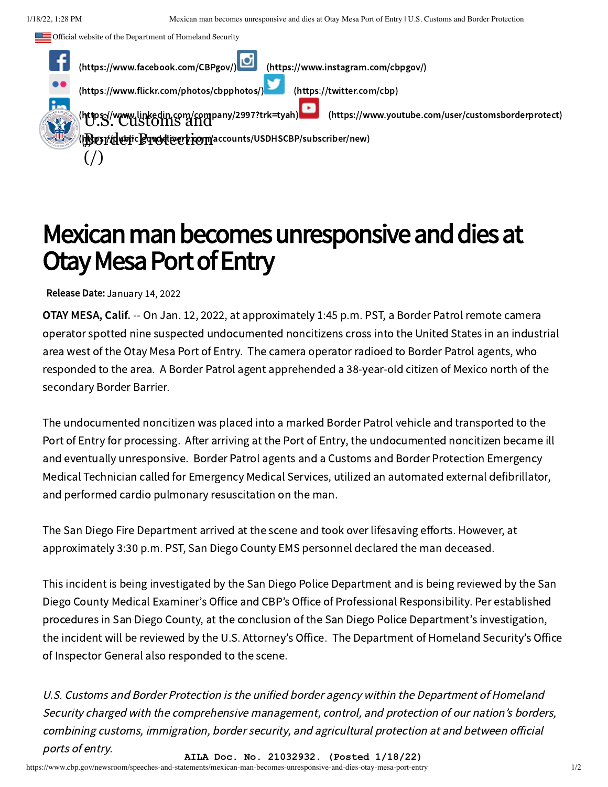Official website of the Department of Homeland Security



## Mexican man becomes unresponsive and dies at Otay Mesa Port of Entry

Release Date: January 14, 2022

OTAY MESA, Calif. -- On Jan. 12, 2022, at approximately 1:45 p.m. PST, a Border Patrol remote camera operator spotted nine suspected undocumented noncitizens cross into the United States in an industrial area west of the Otay Mesa Port of Entry. The camera operator radioed to Border Patrol agents, who responded to the area. A Border Patrol agent apprehended a 38-year-old citizen of Mexico north of the secondary Border Barrier.

The undocumented noncitizen was placed into a marked Border Patrol vehicle and transported to the Port of Entry for processing. After arriving at the Port of Entry, the undocumented noncitizen became ill and eventually unresponsive. Border Patrol agents and a Customs and Border Protection Emergency Medical Technician called for Emergency Medical Services, utilized an automated external defibrillator, and performed cardio pulmonary resuscitation on the man.

The San Diego Fire Department arrived at the scene and took over lifesaving efforts. However, at approximately 3:30 p.m. PST, San Diego County EMS personnel declared the man deceased.

This incident is being investigated by the San Diego Police Department and is being reviewed by the San Diego County Medical Examiner's Office and CBP's Office of Professional Responsibility. Per established procedures in San Diego County, at the conclusion of the San Diego Police Department's investigation, the incident will be reviewed by the U.S. Attorney's Office. The Department of Homeland Security's Office of Inspector General also responded to the scene.

U.S. Customs and Border Protection is the unified border agency within the Department of Homeland Security charged with the comprehensive management, control, and protection of our nation's borders, combining customs, immigration, border security, and agricultural protection at and between official ports of entry. **AILA Doc. No. 21032932. (Posted 1/18/22)**

https://www.cbp.gov/newsroom/speeches-and-statements/mexican-man-becomes-unresponsive-and-dies-otay-mesa-port-entry 1/2